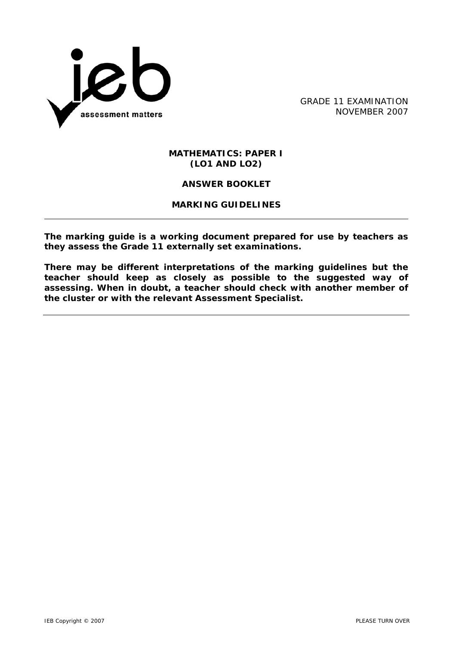

GRADE 11 EXAMINATION NOVEMBER 2007

#### **MATHEMATICS: PAPER I (LO1 AND LO2)**

## **ANSWER BOOKLET**

## **MARKING GUIDELINES**

**The marking guide is a working document prepared for use by teachers as they assess the Grade 11 externally set examinations.** 

**There may be different interpretations of the marking guidelines but the teacher should keep as closely as possible to the suggested way of assessing. When in doubt, a teacher should check with another member of the cluster or with the relevant Assessment Specialist.**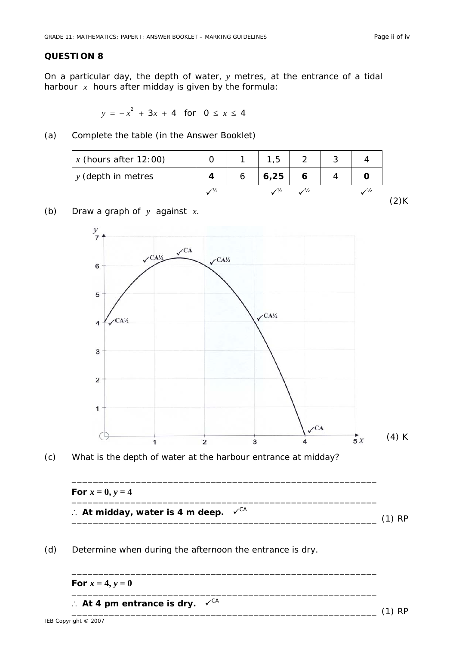$(2)$ K

\_\_\_\_\_\_\_\_\_\_\_\_\_\_\_\_\_\_\_\_\_\_\_\_\_\_\_\_\_\_\_\_\_\_\_\_\_\_\_\_\_\_\_\_\_\_\_\_\_\_\_\_\_\_\_\_\_ (1) RP

#### **QUESTION 8**

On a particular day, the depth of water, *y* metres, at the entrance of a tidal harbour *x* hours after midday is given by the formula:

$$
y = -x^2 + 3x + 4 \text{ for } 0 \le x \le 4
$$

(a) Complete the table (in the Answer Booklet)

| $x$ (hours after 12:00) |               | 1,5        |               |  |
|-------------------------|---------------|------------|---------------|--|
| $y$ (depth in metres    |               | 6,25       |               |  |
|                         | $\frac{1}{2}$ | $\sqrt{2}$ | $\frac{1}{2}$ |  |

#### (b) Draw a graph of *y* against *x*.





| For $x = 0, y = 4$                                                  |          |
|---------------------------------------------------------------------|----------|
| $\therefore$ At midday, water is 4 m deep. $\checkmark^{\text{CA}}$ | $(1)$ PP |

\_\_\_\_\_\_\_\_\_\_\_\_\_\_\_\_\_\_\_\_\_\_\_\_\_\_\_\_\_\_\_\_\_\_\_\_\_\_\_\_\_\_\_\_\_\_\_\_\_\_\_\_\_\_\_\_\_

\_\_\_\_\_\_\_\_\_\_\_\_\_\_\_\_\_\_\_\_\_\_\_\_\_\_\_\_\_\_\_\_\_\_\_\_\_\_\_\_\_\_\_\_\_\_\_\_\_\_\_\_\_\_\_\_\_

(d) Determine when during the afternoon the entrance is dry.

\_\_\_\_\_\_\_\_\_\_\_\_\_\_\_\_\_\_\_\_\_\_\_\_\_\_\_\_\_\_\_\_\_\_\_\_\_\_\_\_\_\_\_\_\_\_\_\_\_\_\_\_\_\_\_\_\_ **For**  $x = 4, y = 0$ 

∴ At 4 pm entrance is dry.  $\checkmark$ <sup>CA</sup>

IEB Copyright © 2007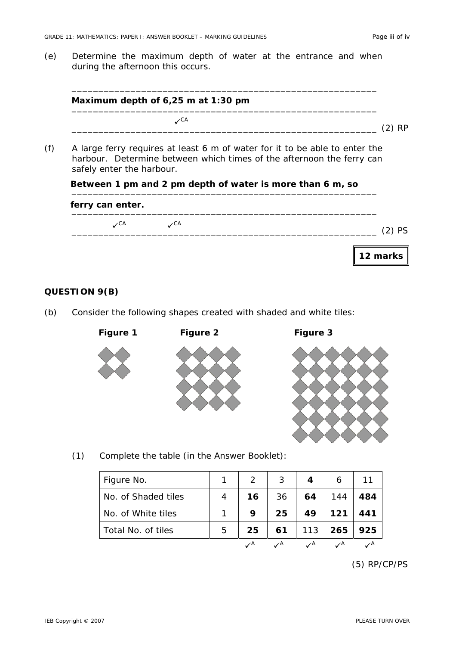(e) Determine the maximum depth of water at the entrance and when during the afternoon this occurs.

| Maximum depth of 6,25 m at 1:30 pm |  |
|------------------------------------|--|
| ∕CA                                |  |

(f) A large ferry requires at least 6 m of water for it to be able to enter the harbour. Determine between which times of the afternoon the ferry can safely enter the harbour.

# Between 1 pm and 2 pm depth of water is more than 6 m, so <u>and the same of the state</u>

| ferry can enter. |                  |                  |                                  |
|------------------|------------------|------------------|----------------------------------|
|                  | $\mathcal{L}$ CA | $\mathcal{L}$ CA | <b>PS</b>                        |
|                  |                  |                  | $\parallel$ 12 marks $\parallel$ |

### **QUESTION 9(B)**

(b) Consider the following shapes created with shaded and white tiles:



 **Figure 1 Figure 2 Figure 3** 



(1) Complete the table (in the Answer Booklet):

| Figure No.          |   | $\overline{2}$ | 3             | 4             | 6             |     |
|---------------------|---|----------------|---------------|---------------|---------------|-----|
| No. of Shaded tiles |   | 16             | 36            | 64            | 144           | 484 |
| No. of White tiles  |   | 9              | 25            | 49            | 121           | 441 |
| Total No. of tiles  | 5 | 25             | 61            | 113           | 265           | 925 |
|                     |   | $\mathcal{A}$  | $\mathcal{A}$ | $\mathcal{A}$ | $\mathcal{A}$ |     |

 <sup>(5)</sup> RP/CP/PS